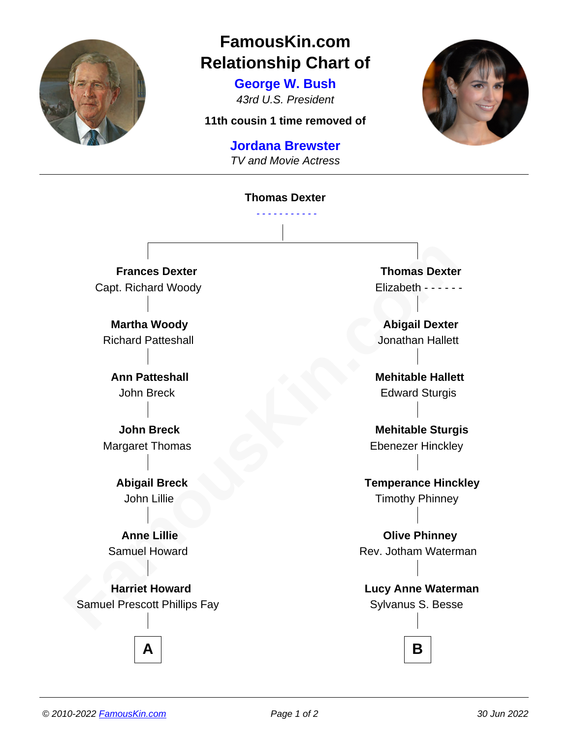

## **FamousKin.com Relationship Chart of**

**George W. Bush** 43rd U.S. President

**11th cousin 1 time removed of**

## **Jordana Brewster**

TV and Movie Actress

## **Thomas Dexter** - - - - - - - - - - -

**Frances Dexter** Capt. Richard Woody

**Martha Woody** Richard Patteshall

**Ann Patteshall** John Breck

**John Breck** Margaret Thomas

> **Abigail Breck** John Lillie

**Anne Lillie** Samuel Howard

**Frances Dexter**<br>
Capt. Richard Woody<br> **Famous Dexter**<br> **Factor Capt. Richard Patteshall**<br> **Ann Patteshall**<br> **Ann Patteshall**<br> **Ann Patteshall**<br> **Ann Breck**<br> **Four Simple Start of Constant Start of Constant Start of Consta Harriet Howard** Samuel Prescott Phillips Fay

**Thomas Dexter** Elizabeth - - - - - -

**Abigail Dexter** Jonathan Hallett

**Mehitable Hallett** Edward Sturgis

**Mehitable Sturgis** Ebenezer Hinckley

**Temperance Hinckley** Timothy Phinney

**Olive Phinney** Rev. Jotham Waterman

**Lucy Anne Waterman** Sylvanus S. Besse



**A B**